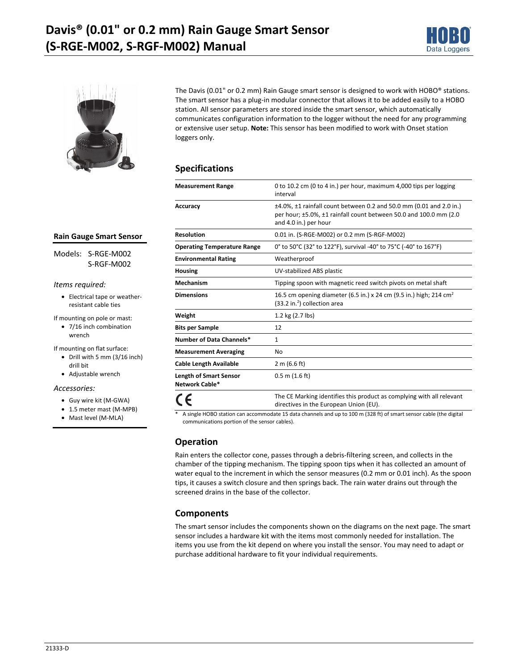



The Davis (0.01" or 0.2 mm) Rain Gauge smart sensor is designed to work with HOBO® stations. The smart sensor has a plug-in modular connector that allows it to be added easily to a HOBO station. All sensor parameters are stored inside the smart sensor, which automatically communicates configuration information to the logger without the need for any programming or extensive user setup. **Note:** This sensor has been modified to work with Onset station loggers only.

## **Specifications**

| <b>Measurement Range</b>                        | 0 to 10.2 cm (0 to 4 in.) per hour, maximum 4,000 tips per logging<br>interval                                                                                               |
|-------------------------------------------------|------------------------------------------------------------------------------------------------------------------------------------------------------------------------------|
| Accuracy                                        | $\pm$ 4.0%, $\pm$ 1 rainfall count between 0.2 and 50.0 mm (0.01 and 2.0 in.)<br>per hour; ±5.0%, ±1 rainfall count between 50.0 and 100.0 mm (2.0)<br>and 4.0 in.) per hour |
| <b>Resolution</b>                               | 0.01 in. (S-RGE-M002) or 0.2 mm (S-RGF-M002)                                                                                                                                 |
| <b>Operating Temperature Range</b>              | 0° to 50°C (32° to 122°F), survival -40° to 75°C (-40° to 167°F)                                                                                                             |
| <b>Environmental Rating</b>                     | Weatherproof                                                                                                                                                                 |
| Housing                                         | UV-stabilized ABS plastic                                                                                                                                                    |
| <b>Mechanism</b>                                | Tipping spoon with magnetic reed switch pivots on metal shaft                                                                                                                |
| <b>Dimensions</b>                               | 16.5 cm opening diameter (6.5 in.) x 24 cm (9.5 in.) high; 214 cm <sup>2</sup><br>$(33.2 \text{ in.}^2)$ collection area                                                     |
| Weight                                          | 1.2 kg (2.7 lbs)                                                                                                                                                             |
| <b>Bits per Sample</b>                          | 12                                                                                                                                                                           |
| Number of Data Channels*                        | $\mathbf{1}$                                                                                                                                                                 |
| <b>Measurement Averaging</b>                    | No                                                                                                                                                                           |
| <b>Cable Length Available</b>                   | 2 m (6.6 ft)                                                                                                                                                                 |
| <b>Length of Smart Sensor</b><br>Network Cable* | $0.5$ m $(1.6$ ft)                                                                                                                                                           |
|                                                 | The CE Marking identifies this product as complying with all relevant<br>directives in the European Union (EU).                                                              |
|                                                 |                                                                                                                                                                              |

A single HOBO station can accommodate 15 data channels and up to 100 m (328 ft) of smart sensor cable (the digital communications portion of the sensor cables).

# **Operation**

Rain enters the collector cone, passes through a debris-filtering screen, and collects in the chamber of the tipping mechanism. The tipping spoon tips when it has collected an amount of water equal to the increment in which the sensor measures (0.2 mm or 0.01 inch). As the spoon tips, it causes a switch closure and then springs back. The rain water drains out through the screened drains in the base of the collector.

# **Components**

The smart sensor includes the components shown on the diagrams on the next page. The smart sensor includes a hardware kit with the items most commonly needed for installation. The items you use from the kit depend on where you install the sensor. You may need to adapt or purchase additional hardware to fit your individual requirements.

#### **Rain Gauge Smart Sensor**

Models: S-RGE-M002 S-RGF-M002

#### *Items required:*

• Electrical tape or weatherresistant cable ties

If mounting on pole or mast:

• 7/16 inch combination wrench

If mounting on flat surface:

- Drill with 5 mm (3/16 inch) drill bit
- Adjustable wrench

*Accessories:* 

- Guy wire kit (M-GWA)
- 1.5 meter mast (M-MPB)
- Mast level (M-MLA)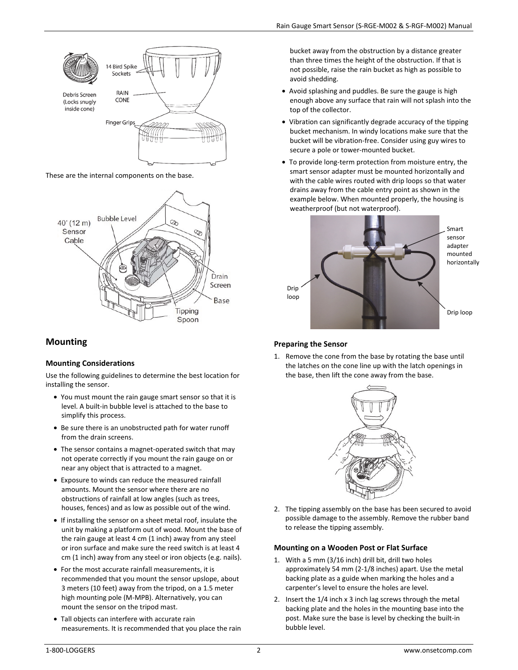

These are the internal components on the base.



# **Mounting**

### **Mounting Considerations**

Use the following guidelines to determine the best location for installing the sensor.

- You must mount the rain gauge smart sensor so that it is level. A built-in bubble level is attached to the base to simplify this process.
- Be sure there is an unobstructed path for water runoff from the drain screens.
- The sensor contains a magnet-operated switch that may not operate correctly if you mount the rain gauge on or near any object that is attracted to a magnet.
- Exposure to winds can reduce the measured rainfall amounts. Mount the sensor where there are no obstructions of rainfall at low angles (such as trees, houses, fences) and as low as possible out of the wind.
- If installing the sensor on a sheet metal roof, insulate the unit by making a platform out of wood. Mount the base of the rain gauge at least 4 cm (1 inch) away from any steel or iron surface and make sure the reed switch is at least 4 cm (1 inch) away from any steel or iron objects (e.g. nails).
- For the most accurate rainfall measurements, it is recommended that you mount the sensor upslope, about 3 meters (10 feet) away from the tripod, on a 1.5 meter high mounting pole (M-MPB). Alternatively, you can mount the sensor on the tripod mast.
- Tall objects can interfere with accurate rain measurements. It is recommended that you place the rain

bucket away from the obstruction by a distance greater than three times the height of the obstruction. If that is not possible, raise the rain bucket as high as possible to avoid shedding.

- Avoid splashing and puddles. Be sure the gauge is high enough above any surface that rain will not splash into the top of the collector.
- Vibration can significantly degrade accuracy of the tipping bucket mechanism. In windy locations make sure that the bucket will be vibration-free. Consider using guy wires to secure a pole or tower-mounted bucket.
- To provide long-term protection from moisture entry, the smart sensor adapter must be mounted horizontally and with the cable wires routed with drip loops so that water drains away from the cable entry point as shown in the example below. When mounted properly, the housing is weatherproof (but not waterproof).



## **Preparing the Sensor**

1. Remove the cone from the base by rotating the base until the latches on the cone line up with the latch openings in the base, then lift the cone away from the base.



2. The tipping assembly on the base has been secured to avoid possible damage to the assembly. Remove the rubber band to release the tipping assembly.

### **Mounting on a Wooden Post or Flat Surface**

- 1. With a 5 mm (3/16 inch) drill bit, drill two holes approximately 54 mm (2-1/8 inches) apart. Use the metal backing plate as a guide when marking the holes and a carpenter's level to ensure the holes are level.
- 2. Insert the 1/4 inch x 3 inch lag screws through the metal backing plate and the holes in the mounting base into the post. Make sure the base is level by checking the built-in bubble level.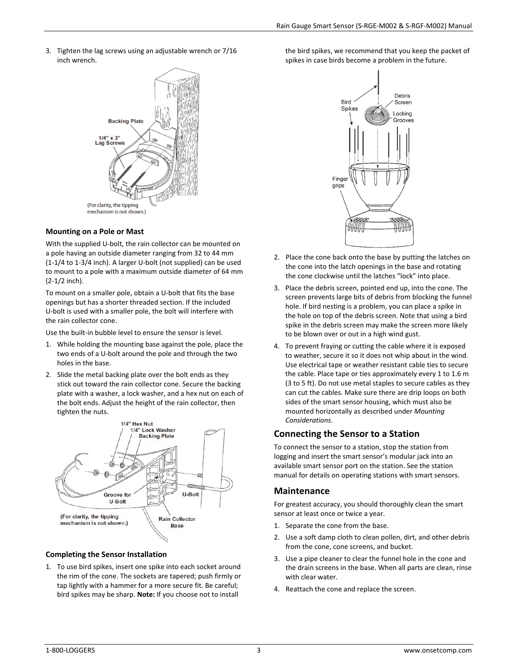3. Tighten the lag screws using an adjustable wrench or 7/16 inch wrench.



### **Mounting on a Pole or Mast**

With the supplied U-bolt, the rain collector can be mounted on a pole having an outside diameter ranging from 32 to 44 mm (1-1/4 to 1-3/4 inch). A larger U-bolt (not supplied) can be used to mount to a pole with a maximum outside diameter of 64 mm (2-1/2 inch).

To mount on a smaller pole, obtain a U-bolt that fits the base openings but has a shorter threaded section. If the included U-bolt is used with a smaller pole, the bolt will interfere with the rain collector cone.

Use the built-in bubble level to ensure the sensor is level.

- 1. While holding the mounting base against the pole, place the two ends of a U-bolt around the pole and through the two holes in the base.
- 2. Slide the metal backing plate over the bolt ends as they stick out toward the rain collector cone. Secure the backing plate with a washer, a lock washer, and a hex nut on each of the bolt ends. Adjust the height of the rain collector, then tighten the nuts.



#### **Completing the Sensor Installation**

1. To use bird spikes, insert one spike into each socket around the rim of the cone. The sockets are tapered; push firmly or tap lightly with a hammer for a more secure fit. Be careful; bird spikes may be sharp. **Note:** If you choose not to install

the bird spikes, we recommend that you keep the packet of spikes in case birds become a problem in the future.



- 2. Place the cone back onto the base by putting the latches on the cone into the latch openings in the base and rotating the cone clockwise until the latches "lock" into place.
- 3. Place the debris screen, pointed end up, into the cone. The screen prevents large bits of debris from blocking the funnel hole. If bird nesting is a problem, you can place a spike in the hole on top of the debris screen. Note that using a bird spike in the debris screen may make the screen more likely to be blown over or out in a high wind gust.
- 4. To prevent fraying or cutting the cable where it is exposed to weather, secure it so it does not whip about in the wind. Use electrical tape or weather resistant cable ties to secure the cable. Place tape or ties approximately every 1 to 1.6 m (3 to 5 ft). Do not use metal staples to secure cables as they can cut the cables. Make sure there are drip loops on both sides of the smart sensor housing, which must also be mounted horizontally as described under *Mounting Considerations*.

## **Connecting the Sensor to a Station**

To connect the sensor to a station, stop the station from logging and insert the smart sensor's modular jack into an available smart sensor port on the station. See the station manual for details on operating stations with smart sensors.

## **Maintenance**

For greatest accuracy, you should thoroughly clean the smart sensor at least once or twice a year.

- 1. Separate the cone from the base.
- 2. Use a soft damp cloth to clean pollen, dirt, and other debris from the cone, cone screens, and bucket.
- 3. Use a pipe cleaner to clear the funnel hole in the cone and the drain screens in the base. When all parts are clean, rinse with clear water.
- 4. Reattach the cone and replace the screen.